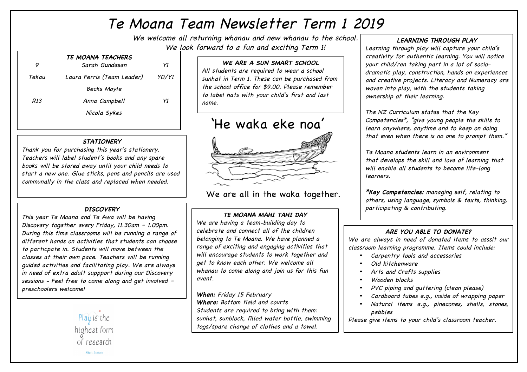# Te Moana Team Newsletter Term 1 2019

We welcome all returning whanau and new whanau to the school. We look forward to a fun and exciting Term 1!

|       | TE MOANA TEACHERS          |       |
|-------|----------------------------|-------|
| 9     | Sarah Gundesen             | Y1    |
| Tekau | Laura Ferris (Team Leader) | YO/YI |
|       | Becks Moyle                |       |
| R13   | Anna Campbell              | Y1    |
|       | Nicola Sykes               |       |
|       |                            |       |

# **STATIONERY**

Thank you for purchasing this year's stationery. Teachers will label student's books and any spare books will be stored away until your child needs to start a new one. Glue sticks, pens and pencils are used communally in the class and replaced when needed.

# **DISCOVERY**

This year Te Moana and Te Awa will be having Discovery together every Friday, 11.30am – 1.00pm. During this time classrooms will be running a range of different hands on activities that students can choose to particpate in. Students will move between the classes at their own pace. Teachers will be running guided activities and facilitating play. We are always in need of extra adult suppport during our Discovery sessions - Feel free to come along and get involved – preschoolers welcome!



# **WE ARE A SUN SMART SCHOOL**

All students are required to wear a school sunhat in Term 1. These can be purchased from the school office for \$9.00. Please remember to label hats with your child's first and last name.

# 'He waka eke noa'



We are all in the waka together.

# **TE MOANA MAHI TAHI DAY**

We are having a team-building day to celebrate and connect all of the children belonging to Te Moana. We have planned a range of exciting and engaging activities that will encourage students to work together and get to know each other. We welcome all whanau to come along and join us for this fun event.

**When:** Friday 15 February **Where:** Bottom field and courts Students are required to bring with them: sunhat, sunblock, filled water bottle, swimming togs/spare change of clothes and a towel.

# **LEARNING THROUGH PLAY**

Learning through play will capture your child's creativity for authentic learning. You will notice your child/ren taking part in a lot of sociodramatic play, construction, hands on experiences and creative projects. Literacy and Numeracy are woven into play, with the students taking ownership of their learning.

The NZ Curriculum states that the Key Competencies\*, "give young people the skills to learn anywhere, anytime and to keep on doing that even when there is no one to prompt them."

Te Moana students learn in an environment that develops the skill and love of learning that will enable all students to become life-long learners.

**\*Key Competencies:** managing self, relating to others, using language, symbols & texts, thinking, participating & contributing.

# **ARE YOU ABLE TO DONATE?**

We are always in need of donated items to asssit our classroom learning programme. Items could include:

- Carpentry tools and accessories
- Old kitchenware
- Arts and Crafts supplies
- Wooden blocks
- PVC piping and guttering (clean please)
- Cardboard tubes e.q., inside of wrapping paper
- Natural items e.g., pinecones, shells, stones, pebbles

Please give items to your child's classroom teacher.